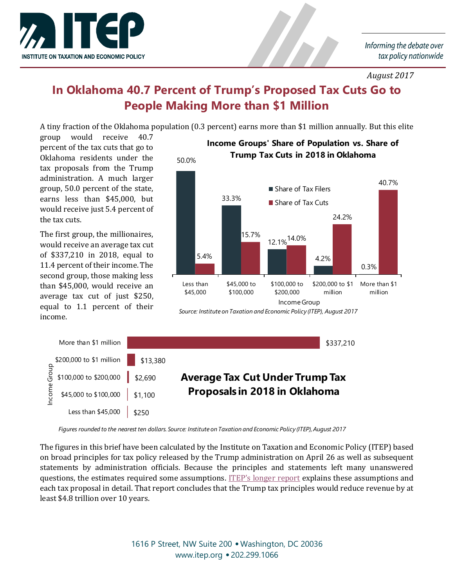

*August 2017*

## **In Oklahoma 40.7 Percent of Trump's Proposed Tax Cuts Go to People Making More than \$1 Million**

A tiny fraction of the Oklahoma population (0.3 percent) earns more than \$1 million annually. But this elite

group would receive 40.7 percent of the tax cuts that go to Oklahoma residents under the tax proposals from the Trump administration. A much larger group, 50.0 percent of the state, earns less than \$45,000, but would receive just 5.4 percent of the tax cuts.

The first group, the millionaires, would receive an average tax cut of \$337,210 in 2018, equal to 11.4 percent of their income. The second group, those making less than \$45,000, would receive an average tax cut of just \$250, equal to 1.1 percent of their income.



## *Source: Institute on Taxation and Economic Policy (ITEP), August 2017*

|      | More than \$1 million                        |                     |                                        | \$337,210 |
|------|----------------------------------------------|---------------------|----------------------------------------|-----------|
|      | \$200,000 to \$1 million \$13,380            |                     |                                        |           |
|      | $\frac{5}{9}$ \$100,000 to \$200,000 \$2,690 |                     | <b>Average Tax Cut Under Trump Tax</b> |           |
| ncom | $$45,000 \text{ to } $100,000$   \$1,100     |                     | Proposals in 2018 in Oklahoma          |           |
|      | Less than \$45,000                           | $\frac{1}{2}$ \$250 |                                        |           |

*Figures rounded to the nearest ten dollars. Source: Institute on Taxation and Economic Policy (ITEP), August 2017*

The figures in this brief have been calculated by the Institute on Taxation and Economic Policy (ITEP) based on broad principles for tax policy released by the Trump administration on April 26 as well as subsequent statements by administration officials. Because the principles and statements left many unanswered questions, the estimates required some assumptions. [ITEP's longer report](https://itep.org/trumptaxprelim/) explains these assumptions and each tax proposal in detail. That report concludes that the Trump tax principles would reduce revenue by at least \$4.8 trillion over 10 years.